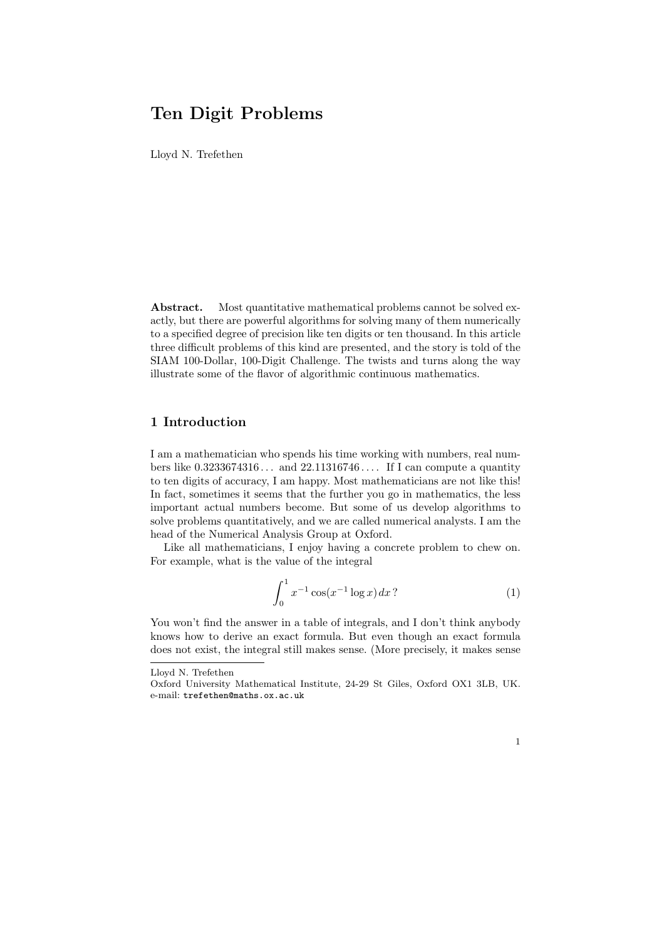Lloyd N. Trefethen

Abstract. Most quantitative mathematical problems cannot be solved exactly, but there are powerful algorithms for solving many of them numerically to a specified degree of precision like ten digits or ten thousand. In this article three difficult problems of this kind are presented, and the story is told of the SIAM 100-Dollar, 100-Digit Challenge. The twists and turns along the way illustrate some of the flavor of algorithmic continuous mathematics.

# 1 Introduction

I am a mathematician who spends his time working with numbers, real numbers like  $0.3233674316...$  and  $22.11316746...$  If I can compute a quantity to ten digits of accuracy, I am happy. Most mathematicians are not like this! In fact, sometimes it seems that the further you go in mathematics, the less important actual numbers become. But some of us develop algorithms to solve problems quantitatively, and we are called numerical analysts. I am the head of the Numerical Analysis Group at Oxford.

Like all mathematicians, I enjoy having a concrete problem to chew on. For example, what is the value of the integral

$$
\int_0^1 x^{-1} \cos(x^{-1} \log x) \, dx
$$
\n(1)

You won't find the answer in a table of integrals, and I don't think anybody knows how to derive an exact formula. But even though an exact formula does not exist, the integral still makes sense. (More precisely, it makes sense

1

Lloyd N. Trefethen

Oxford University Mathematical Institute, 24-29 St Giles, Oxford OX1 3LB, UK. e-mail: trefethen@maths.ox.ac.uk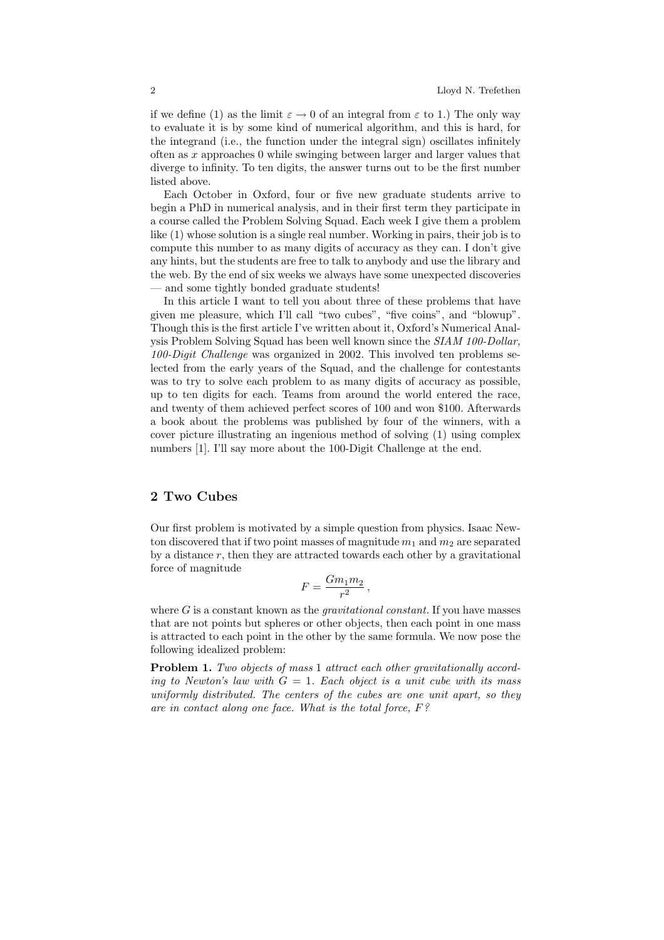if we define (1) as the limit  $\varepsilon \to 0$  of an integral from  $\varepsilon$  to 1.) The only way to evaluate it is by some kind of numerical algorithm, and this is hard, for the integrand (i.e., the function under the integral sign) oscillates infinitely often as  $x$  approaches  $0$  while swinging between larger and larger values that diverge to infinity. To ten digits, the answer turns out to be the first number listed above.

Each October in Oxford, four or five new graduate students arrive to begin a PhD in numerical analysis, and in their first term they participate in a course called the Problem Solving Squad. Each week I give them a problem like (1) whose solution is a single real number. Working in pairs, their job is to compute this number to as many digits of accuracy as they can. I don't give any hints, but the students are free to talk to anybody and use the library and the web. By the end of six weeks we always have some unexpected discoveries — and some tightly bonded graduate students!

In this article I want to tell you about three of these problems that have given me pleasure, which I'll call "two cubes", "five coins", and "blowup". Though this is the first article I've written about it, Oxford's Numerical Analysis Problem Solving Squad has been well known since the SIAM 100-Dollar, 100-Digit Challenge was organized in 2002. This involved ten problems selected from the early years of the Squad, and the challenge for contestants was to try to solve each problem to as many digits of accuracy as possible, up to ten digits for each. Teams from around the world entered the race, and twenty of them achieved perfect scores of 100 and won \$100. Afterwards a book about the problems was published by four of the winners, with a cover picture illustrating an ingenious method of solving (1) using complex numbers [1]. I'll say more about the 100-Digit Challenge at the end.

# 2 Two Cubes

Our first problem is motivated by a simple question from physics. Isaac Newton discovered that if two point masses of magnitude  $m_1$  and  $m_2$  are separated by a distance  $r$ , then they are attracted towards each other by a gravitational force of magnitude

$$
F=\frac{Gm_1m_2}{r^2}\,,
$$

where  $G$  is a constant known as the *gravitational constant*. If you have masses that are not points but spheres or other objects, then each point in one mass is attracted to each point in the other by the same formula. We now pose the following idealized problem:

Problem 1. Two objects of mass 1 attract each other gravitationally according to Newton's law with  $G = 1$ . Each object is a unit cube with its mass uniformly distributed. The centers of the cubes are one unit apart, so they are in contact along one face. What is the total force,  $F$ ?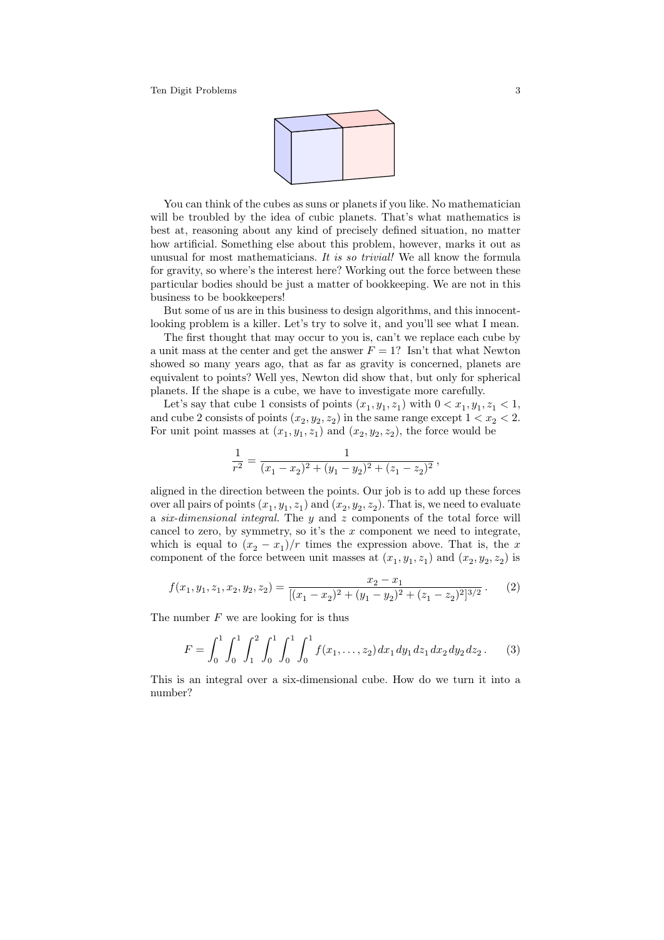

You can think of the cubes as suns or planets if you like. No mathematician will be troubled by the idea of cubic planets. That's what mathematics is best at, reasoning about any kind of precisely defined situation, no matter how artificial. Something else about this problem, however, marks it out as unusual for most mathematicians. It is so trivial! We all know the formula for gravity, so where's the interest here? Working out the force between these particular bodies should be just a matter of bookkeeping. We are not in this business to be bookkeepers!

But some of us are in this business to design algorithms, and this innocentlooking problem is a killer. Let's try to solve it, and you'll see what I mean.

The first thought that may occur to you is, can't we replace each cube by a unit mass at the center and get the answer  $F = 1$ ? Isn't that what Newton showed so many years ago, that as far as gravity is concerned, planets are equivalent to points? Well yes, Newton did show that, but only for spherical planets. If the shape is a cube, we have to investigate more carefully.

Let's say that cube 1 consists of points  $(x_1, y_1, z_1)$  with  $0 < x_1, y_1, z_1 < 1$ , and cube 2 consists of points  $(x_2, y_2, z_2)$  in the same range except  $1 < x_2 < 2$ . For unit point masses at  $(x_1, y_1, z_1)$  and  $(x_2, y_2, z_2)$ , the force would be

$$
\frac{1}{r^2}=\frac{1}{(x_1-x_2)^2+(y_1-y_2)^2+(z_1-z_2)^2}\,,
$$

aligned in the direction between the points. Our job is to add up these forces over all pairs of points  $(x_1, y_1, z_1)$  and  $(x_2, y_2, z_2)$ . That is, we need to evaluate a six-dimensional integral. The  $y$  and  $z$  components of the total force will cancel to zero, by symmetry, so it's the  $x$  component we need to integrate, which is equal to  $(x_2 - x_1)/r$  times the expression above. That is, the x component of the force between unit masses at  $(x_1, y_1, z_1)$  and  $(x_2, y_2, z_2)$  is

$$
f(x_1, y_1, z_1, x_2, y_2, z_2) = \frac{x_2 - x_1}{[(x_1 - x_2)^2 + (y_1 - y_2)^2 + (z_1 - z_2)^2]^{3/2}}.
$$
 (2)

The number  $F$  we are looking for is thus

$$
F = \int_0^1 \int_0^1 \int_0^2 \int_0^1 \int_0^1 \int_0^1 f(x_1, \dots, z_2) dx_1 dy_1 dz_1 dx_2 dy_2 dz_2.
$$
 (3)

This is an integral over a six-dimensional cube. How do we turn it into a number?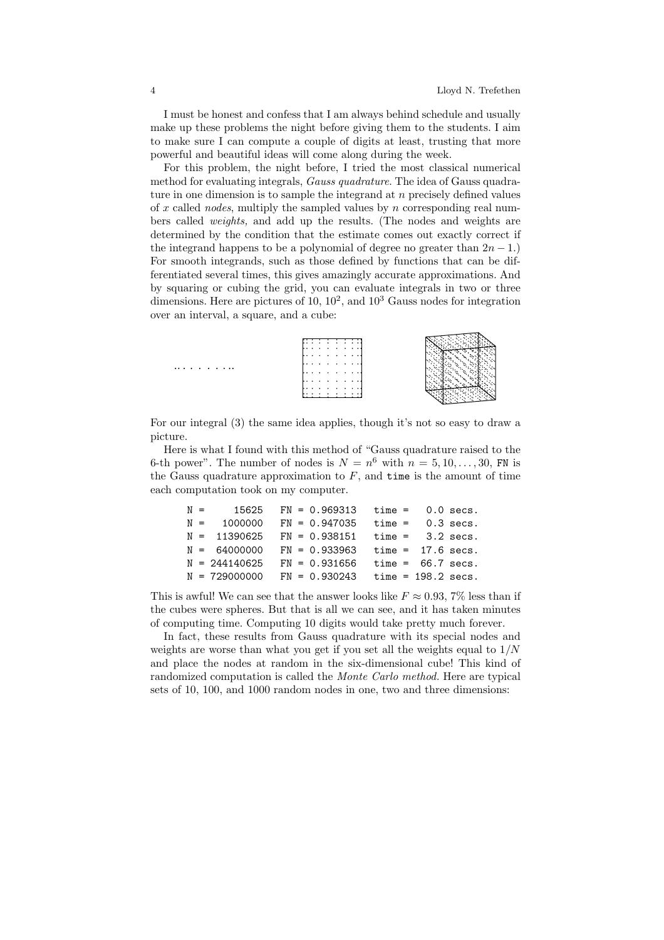I must be honest and confess that I am always behind schedule and usually make up these problems the night before giving them to the students. I aim to make sure I can compute a couple of digits at least, trusting that more powerful and beautiful ideas will come along during the week.

For this problem, the night before, I tried the most classical numerical method for evaluating integrals, *Gauss quadrature*. The idea of Gauss quadrature in one dimension is to sample the integrand at  $n$  precisely defined values of x called *nodes*, multiply the sampled values by n corresponding real numbers called weights, and add up the results. (The nodes and weights are determined by the condition that the estimate comes out exactly correct if the integrand happens to be a polynomial of degree no greater than  $2n - 1$ .) For smooth integrands, such as those defined by functions that can be differentiated several times, this gives amazingly accurate approximations. And by squaring or cubing the grid, you can evaluate integrals in two or three dimensions. Here are pictures of 10,  $10^2$ , and  $10^3$  Gauss nodes for integration over an interval, a square, and a cube:



For our integral (3) the same idea applies, though it's not so easy to draw a picture.

Here is what I found with this method of "Gauss quadrature raised to the 6-th power". The number of nodes is  $N = n^6$  with  $n = 5, 10, \ldots, 30$ , FN is the Gauss quadrature approximation to  $F$ , and time is the amount of time each computation took on my computer.

| $N =$ |                 | $15625$ FN = 0.969313              |          | $time = 0.0 secs.$          |             |
|-------|-----------------|------------------------------------|----------|-----------------------------|-------------|
| $N =$ | 1000000         | $FN = 0.947035$                    | $time =$ |                             | $0.3$ secs. |
|       | $N = 11390625$  | $FN = 0.938151$                    |          | $time = 3.2 \text{ secs}.$  |             |
|       | $N = 64000000$  | $FN = 0.933963$                    |          | $time = 17.6 \text{ secs}.$ |             |
|       | $N = 244140625$ | $FN = 0.931656$                    |          | $time = 66.7 \text{ secs}.$ |             |
|       | $N = 729000000$ | $FN = 0.930243$ time = 198.2 secs. |          |                             |             |

This is awful! We can see that the answer looks like  $F \approx 0.93, 7\%$  less than if the cubes were spheres. But that is all we can see, and it has taken minutes of computing time. Computing 10 digits would take pretty much forever.

In fact, these results from Gauss quadrature with its special nodes and weights are worse than what you get if you set all the weights equal to  $1/N$ and place the nodes at random in the six-dimensional cube! This kind of randomized computation is called the Monte Carlo method. Here are typical sets of 10, 100, and 1000 random nodes in one, two and three dimensions: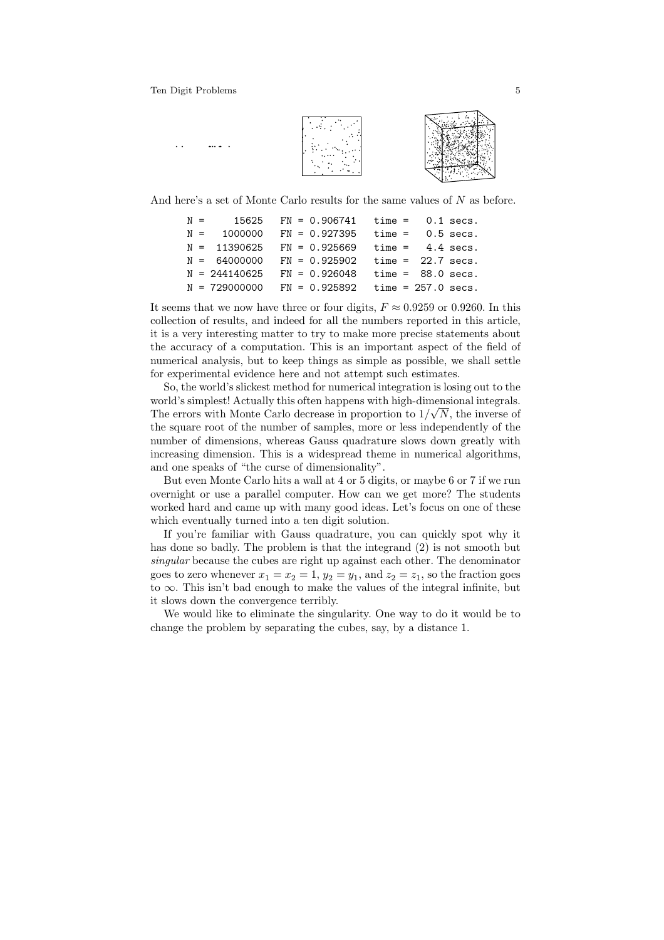

And here's a set of Monte Carlo results for the same values of N as before.

| $N =$ | 15625           | $FN = 0.906741$ |          | $time = 0.1 \text{ secs}.$  |             |
|-------|-----------------|-----------------|----------|-----------------------------|-------------|
| $N =$ | 1000000         | $FN = 0.927395$ | $time =$ |                             | $0.5$ secs. |
|       | $N = 11390625$  | $FN = 0.925669$ |          | $time = 4.4 \text{ secs}.$  |             |
|       | $N = 64000000$  | $FN = 0.925902$ |          | $time = 22.7 \text{ secs}.$ |             |
|       | $N = 244140625$ | $FN = 0.926048$ |          | $time = 88.0 \text{ secs.}$ |             |
|       | $N = 729000000$ | $FN = 0.925892$ |          | $time = 257.0 secs.$        |             |

It seems that we now have three or four digits,  $F \approx 0.9259$  or 0.9260. In this collection of results, and indeed for all the numbers reported in this article, it is a very interesting matter to try to make more precise statements about the accuracy of a computation. This is an important aspect of the field of numerical analysis, but to keep things as simple as possible, we shall settle for experimental evidence here and not attempt such estimates.

So, the world's slickest method for numerical integration is losing out to the world's simplest! Actually this often happens with high-dimensional integrals. The errors with Monte Carlo decrease in proportion to  $1/\sqrt{N}$ , the inverse of the square root of the number of samples, more or less independently of the number of dimensions, whereas Gauss quadrature slows down greatly with increasing dimension. This is a widespread theme in numerical algorithms, and one speaks of "the curse of dimensionality".

But even Monte Carlo hits a wall at 4 or 5 digits, or maybe 6 or 7 if we run overnight or use a parallel computer. How can we get more? The students worked hard and came up with many good ideas. Let's focus on one of these which eventually turned into a ten digit solution.

If you're familiar with Gauss quadrature, you can quickly spot why it has done so badly. The problem is that the integrand (2) is not smooth but singular because the cubes are right up against each other. The denominator goes to zero whenever  $x_1 = x_2 = 1$ ,  $y_2 = y_1$ , and  $z_2 = z_1$ , so the fraction goes to  $\infty$ . This isn't bad enough to make the values of the integral infinite, but it slows down the convergence terribly.

We would like to eliminate the singularity. One way to do it would be to change the problem by separating the cubes, say, by a distance 1.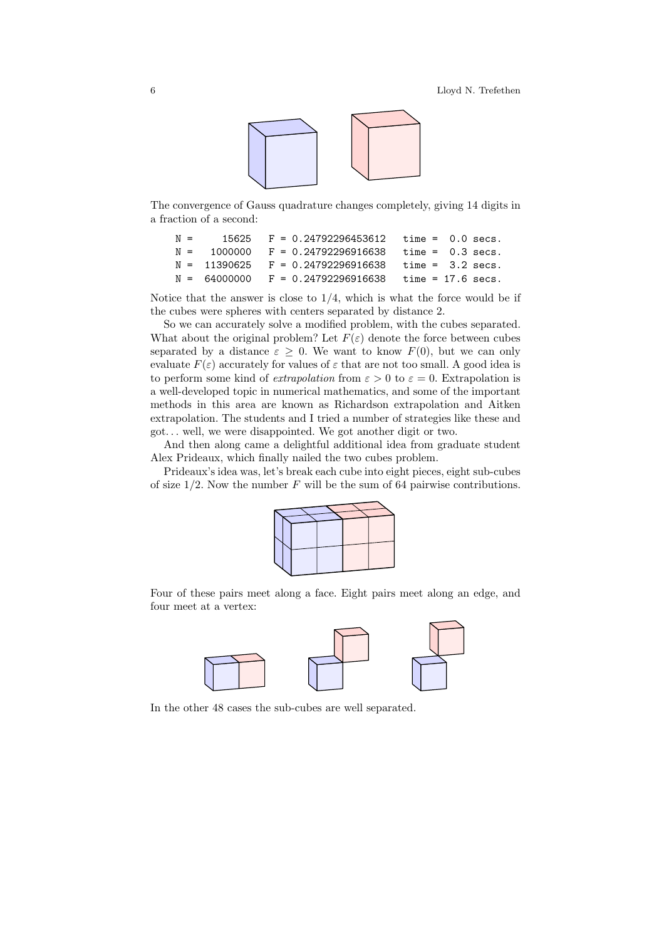

The convergence of Gauss quadrature changes completely, giving 14 digits in a fraction of a second:

| $N =$ | 15625          | F = 0.24792296453612                                    | $time = 0.0 secs.$ |
|-------|----------------|---------------------------------------------------------|--------------------|
| $N =$ | 1000000        | $F = 0.24792296916638$ time = 0.3 secs.                 |                    |
|       | $N = 11390625$ | $F = 0.24792296916638$ time = 3.2 secs.                 |                    |
|       |                | $N = 64000000$ $F = 0.24792296916638$ time = 17.6 secs. |                    |

Notice that the answer is close to  $1/4$ , which is what the force would be if the cubes were spheres with centers separated by distance 2.

So we can accurately solve a modified problem, with the cubes separated. What about the original problem? Let  $F(\varepsilon)$  denote the force between cubes separated by a distance  $\varepsilon \geq 0$ . We want to know  $F(0)$ , but we can only evaluate  $F(\varepsilon)$  accurately for values of  $\varepsilon$  that are not too small. A good idea is to perform some kind of *extrapolation* from  $\varepsilon > 0$  to  $\varepsilon = 0$ . Extrapolation is a well-developed topic in numerical mathematics, and some of the important methods in this area are known as Richardson extrapolation and Aitken extrapolation. The students and I tried a number of strategies like these and got. . . well, we were disappointed. We got another digit or two.

And then along came a delightful additional idea from graduate student Alex Prideaux, which finally nailed the two cubes problem.

Prideaux's idea was, let's break each cube into eight pieces, eight sub-cubes of size  $1/2$ . Now the number F will be the sum of 64 pairwise contributions.



Four of these pairs meet along a face. Eight pairs meet along an edge, and four meet at a vertex:



In the other 48 cases the sub-cubes are well separated.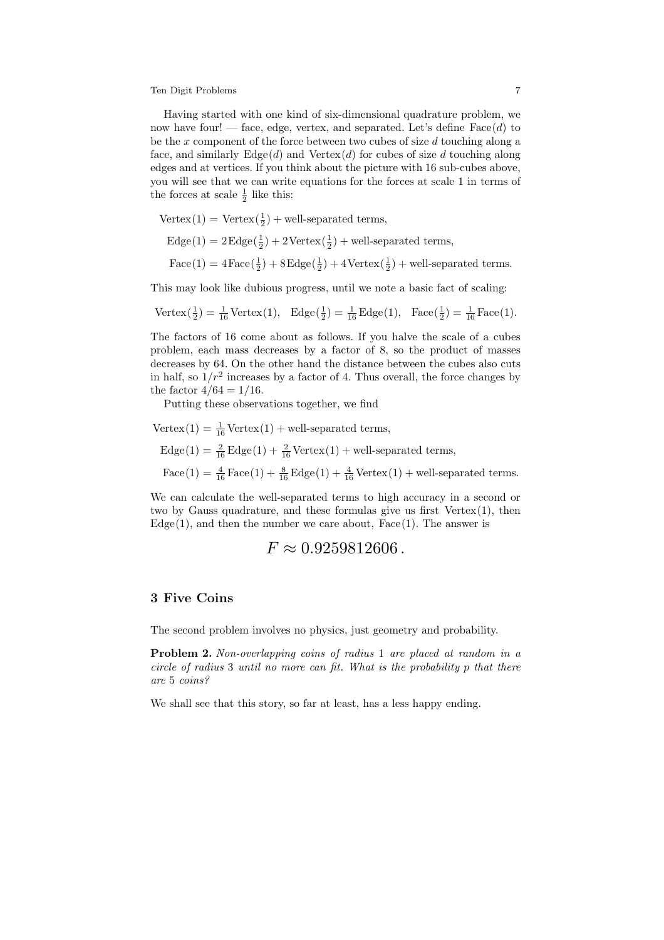Having started with one kind of six-dimensional quadrature problem, we now have four! — face, edge, vertex, and separated. Let's define  $Face(d)$  to be the  $x$  component of the force between two cubes of size  $d$  touching along a face, and similarly  $Edge(d)$  and  $Vertex(d)$  for cubes of size d touching along edges and at vertices. If you think about the picture with 16 sub-cubes above, you will see that we can write equations for the forces at scale 1 in terms of the forces at scale  $\frac{1}{2}$  like this:

 $\text{Vertex}(1) = \text{Vertex}(\frac{1}{2}) + \text{well-separated terms},$ 

 $Edge(1) = 2Edge(\frac{1}{2}) + 2Vertex(\frac{1}{2}) + well-separated terms,$ 

 $Face(1) = 4Face(\frac{1}{2}) + 8Edge(\frac{1}{2}) + 4Vertex(\frac{1}{2}) + well-separated terms.$ 

This may look like dubious progress, until we note a basic fact of scaling:

$$
Vertex(\frac{1}{2}) = \frac{1}{16} Vertex(1), \quad Edge(\frac{1}{2}) = \frac{1}{16} Edge(1), \quad Face(\frac{1}{2}) = \frac{1}{16} Face(1).
$$

The factors of 16 come about as follows. If you halve the scale of a cubes problem, each mass decreases by a factor of 8, so the product of masses decreases by 64. On the other hand the distance between the cubes also cuts in half, so  $1/r^2$  increases by a factor of 4. Thus overall, the force changes by the factor  $4/64 = 1/16$ .

Putting these observations together, we find

 $\text{Vertex}(1) = \frac{1}{16} \text{Vertex}(1) + \text{well-separated terms},$  $Edge(1) = \frac{2}{16} Edge(1) + \frac{2}{16} Vertex(1) + well-separated terms,$  $Face(1) = \frac{4}{16}Face(1) + \frac{8}{16}Edge(1) + \frac{4}{16}Vertex(1) + well-separated terms.$ 

We can calculate the well-separated terms to high accuracy in a second or two by Gauss quadrature, and these formulas give us first Vertex(1), then  $Edge(1)$ , and then the number we care about,  $Face(1)$ . The answer is

$$
F \approx 0.9259812606.
$$

### 3 Five Coins

The second problem involves no physics, just geometry and probability.

Problem 2. Non-overlapping coins of radius 1 are placed at random in a circle of radius 3 until no more can fit. What is the probability p that there are 5 coins?

We shall see that this story, so far at least, has a less happy ending.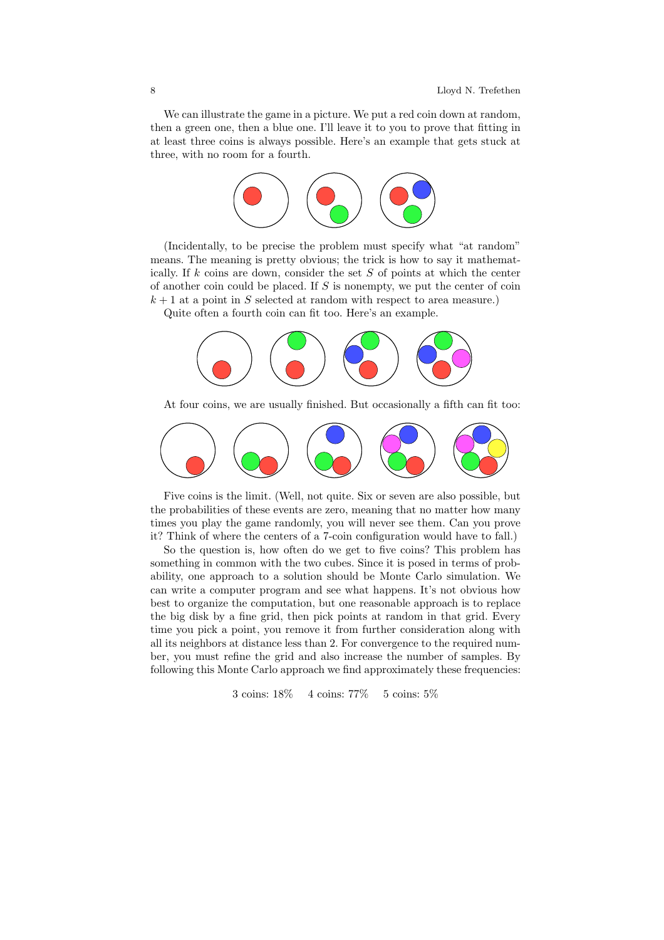We can illustrate the game in a picture. We put a red coin down at random, then a green one, then a blue one. I'll leave it to you to prove that fitting in at least three coins is always possible. Here's an example that gets stuck at three, with no room for a fourth.



(Incidentally, to be precise the problem must specify what "at random" means. The meaning is pretty obvious; the trick is how to say it mathematically. If  $k$  coins are down, consider the set  $S$  of points at which the center of another coin could be placed. If  $S$  is nonempty, we put the center of coin  $k + 1$  at a point in S selected at random with respect to area measure.)

Quite often a fourth coin can fit too. Here's an example.



At four coins, we are usually finished. But occasionally a fifth can fit too:



Five coins is the limit. (Well, not quite. Six or seven are also possible, but the probabilities of these events are zero, meaning that no matter how many times you play the game randomly, you will never see them. Can you prove it? Think of where the centers of a 7-coin configuration would have to fall.)

So the question is, how often do we get to five coins? This problem has something in common with the two cubes. Since it is posed in terms of probability, one approach to a solution should be Monte Carlo simulation. We can write a computer program and see what happens. It's not obvious how best to organize the computation, but one reasonable approach is to replace the big disk by a fine grid, then pick points at random in that grid. Every time you pick a point, you remove it from further consideration along with all its neighbors at distance less than 2. For convergence to the required number, you must refine the grid and also increase the number of samples. By following this Monte Carlo approach we find approximately these frequencies:

3 coins: 18% 4 coins: 77% 5 coins: 5%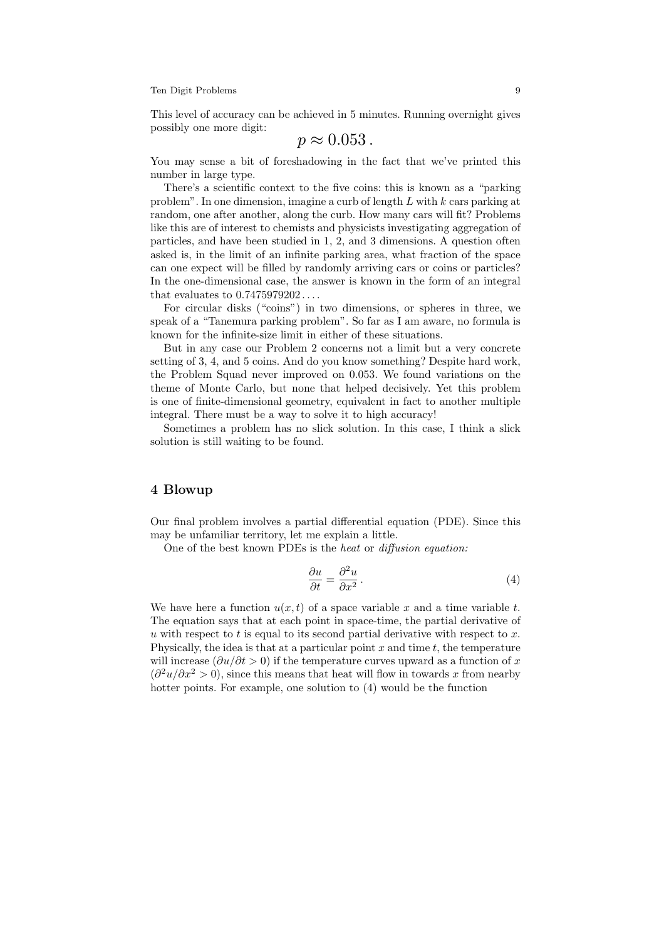This level of accuracy can be achieved in 5 minutes. Running overnight gives possibly one more digit:

$$
p \approx 0.053.
$$

You may sense a bit of foreshadowing in the fact that we've printed this number in large type.

There's a scientific context to the five coins: this is known as a "parking problem". In one dimension, imagine a curb of length L with k cars parking at random, one after another, along the curb. How many cars will fit? Problems like this are of interest to chemists and physicists investigating aggregation of particles, and have been studied in 1, 2, and 3 dimensions. A question often asked is, in the limit of an infinite parking area, what fraction of the space can one expect will be filled by randomly arriving cars or coins or particles? In the one-dimensional case, the answer is known in the form of an integral that evaluates to 0.7475979202 . . . .

For circular disks ("coins") in two dimensions, or spheres in three, we speak of a "Tanemura parking problem". So far as I am aware, no formula is known for the infinite-size limit in either of these situations.

But in any case our Problem 2 concerns not a limit but a very concrete setting of 3, 4, and 5 coins. And do you know something? Despite hard work, the Problem Squad never improved on 0.053. We found variations on the theme of Monte Carlo, but none that helped decisively. Yet this problem is one of finite-dimensional geometry, equivalent in fact to another multiple integral. There must be a way to solve it to high accuracy!

Sometimes a problem has no slick solution. In this case, I think a slick solution is still waiting to be found.

### 4 Blowup

Our final problem involves a partial differential equation (PDE). Since this may be unfamiliar territory, let me explain a little.

One of the best known PDEs is the heat or diffusion equation:

$$
\frac{\partial u}{\partial t} = \frac{\partial^2 u}{\partial x^2}.
$$
\n(4)

We have here a function  $u(x,t)$  of a space variable x and a time variable t. The equation says that at each point in space-time, the partial derivative of u with respect to  $t$  is equal to its second partial derivative with respect to  $x$ . Physically, the idea is that at a particular point  $x$  and time  $t$ , the temperature will increase  $(\partial u/\partial t > 0)$  if the temperature curves upward as a function of x  $\left(\frac{\partial^2 u}{\partial x^2} > 0\right)$ , since this means that heat will flow in towards x from nearby hotter points. For example, one solution to (4) would be the function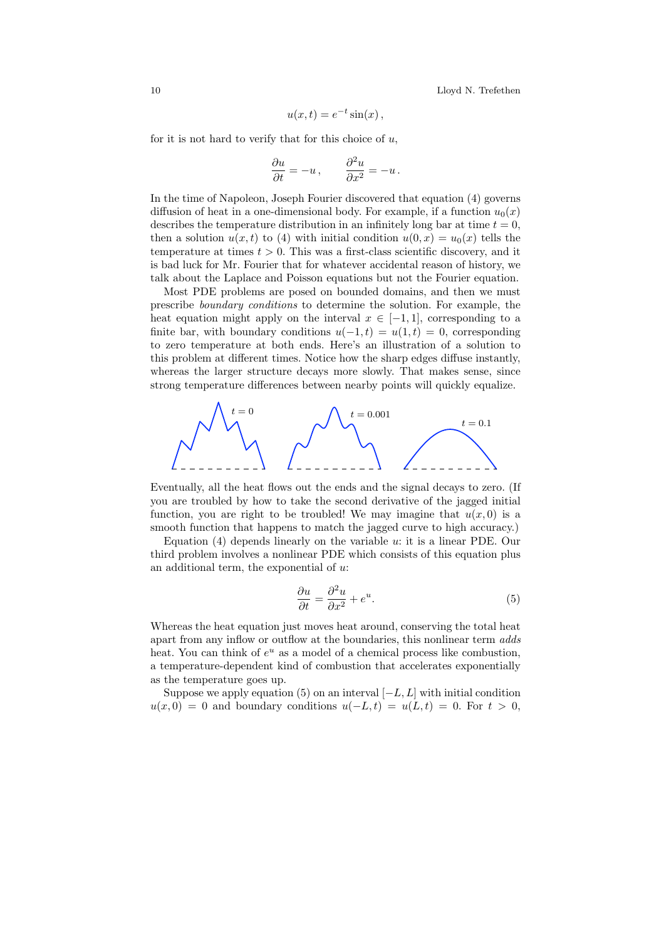$$
u(x,t) = e^{-t} \sin(x) ,
$$

for it is not hard to verify that for this choice of  $u$ ,

$$
\frac{\partial u}{\partial t} = -u \,, \qquad \frac{\partial^2 u}{\partial x^2} = -u \,.
$$

In the time of Napoleon, Joseph Fourier discovered that equation (4) governs diffusion of heat in a one-dimensional body. For example, if a function  $u_0(x)$ describes the temperature distribution in an infinitely long bar at time  $t = 0$ , then a solution  $u(x,t)$  to (4) with initial condition  $u(0, x) = u_0(x)$  tells the temperature at times  $t > 0$ . This was a first-class scientific discovery, and it is bad luck for Mr. Fourier that for whatever accidental reason of history, we talk about the Laplace and Poisson equations but not the Fourier equation.

Most PDE problems are posed on bounded domains, and then we must prescribe boundary conditions to determine the solution. For example, the heat equation might apply on the interval  $x \in [-1,1]$ , corresponding to a finite bar, with boundary conditions  $u(-1,t) = u(1,t) = 0$ , corresponding to zero temperature at both ends. Here's an illustration of a solution to this problem at different times. Notice how the sharp edges diffuse instantly, whereas the larger structure decays more slowly. That makes sense, since strong temperature differences between nearby points will quickly equalize.



Eventually, all the heat flows out the ends and the signal decays to zero. (If you are troubled by how to take the second derivative of the jagged initial function, you are right to be troubled! We may imagine that  $u(x, 0)$  is a smooth function that happens to match the jagged curve to high accuracy.)

Equation  $(4)$  depends linearly on the variable u: it is a linear PDE. Our third problem involves a nonlinear PDE which consists of this equation plus an additional term, the exponential of  $u$ :

$$
\frac{\partial u}{\partial t} = \frac{\partial^2 u}{\partial x^2} + e^u.
$$
\n(5)

Whereas the heat equation just moves heat around, conserving the total heat apart from any inflow or outflow at the boundaries, this nonlinear term adds heat. You can think of  $e^u$  as a model of a chemical process like combustion, a temperature-dependent kind of combustion that accelerates exponentially as the temperature goes up.

Suppose we apply equation (5) on an interval  $[-L, L]$  with initial condition  $u(x, 0) = 0$  and boundary conditions  $u(-L, t) = u(L, t) = 0$ . For  $t > 0$ ,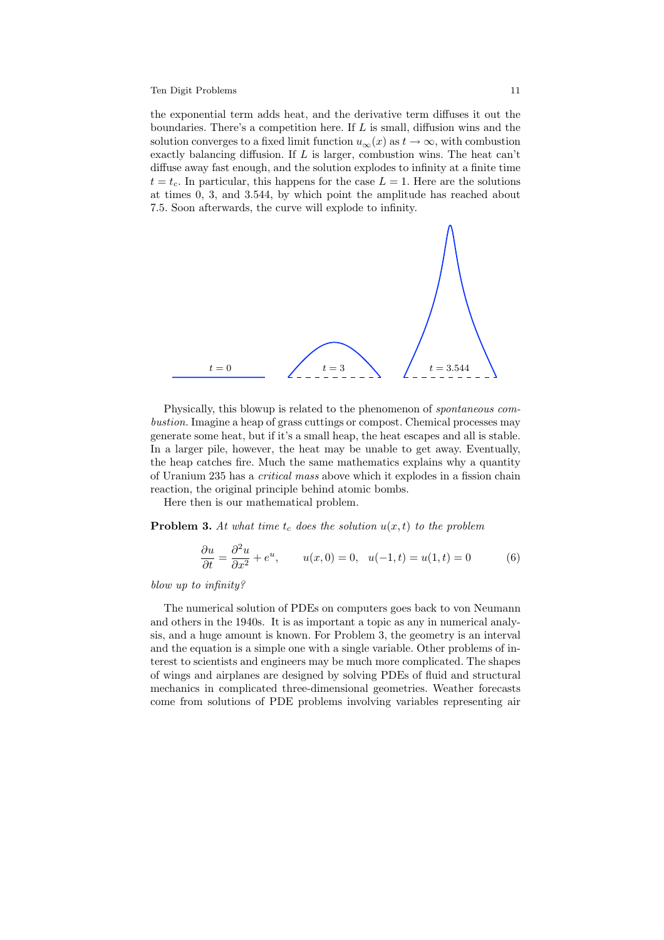the exponential term adds heat, and the derivative term diffuses it out the boundaries. There's a competition here. If  $L$  is small, diffusion wins and the solution converges to a fixed limit function  $u_{\infty}(x)$  as  $t \to \infty$ , with combustion exactly balancing diffusion. If  $L$  is larger, combustion wins. The heat can't diffuse away fast enough, and the solution explodes to infinity at a finite time  $t = t_c$ . In particular, this happens for the case  $L = 1$ . Here are the solutions at times 0, 3, and 3.544, by which point the amplitude has reached about 7.5. Soon afterwards, the curve will explode to infinity.



Physically, this blowup is related to the phenomenon of spontaneous combustion. Imagine a heap of grass cuttings or compost. Chemical processes may generate some heat, but if it's a small heap, the heat escapes and all is stable. In a larger pile, however, the heat may be unable to get away. Eventually, the heap catches fire. Much the same mathematics explains why a quantity of Uranium 235 has a critical mass above which it explodes in a fission chain reaction, the original principle behind atomic bombs.

Here then is our mathematical problem.

**Problem 3.** At what time  $t_c$  does the solution  $u(x,t)$  to the problem

$$
\frac{\partial u}{\partial t} = \frac{\partial^2 u}{\partial x^2} + e^u, \qquad u(x,0) = 0, \ \ u(-1,t) = u(1,t) = 0 \tag{6}
$$

### blow up to infinity?

The numerical solution of PDEs on computers goes back to von Neumann and others in the 1940s. It is as important a topic as any in numerical analysis, and a huge amount is known. For Problem 3, the geometry is an interval and the equation is a simple one with a single variable. Other problems of interest to scientists and engineers may be much more complicated. The shapes of wings and airplanes are designed by solving PDEs of fluid and structural mechanics in complicated three-dimensional geometries. Weather forecasts come from solutions of PDE problems involving variables representing air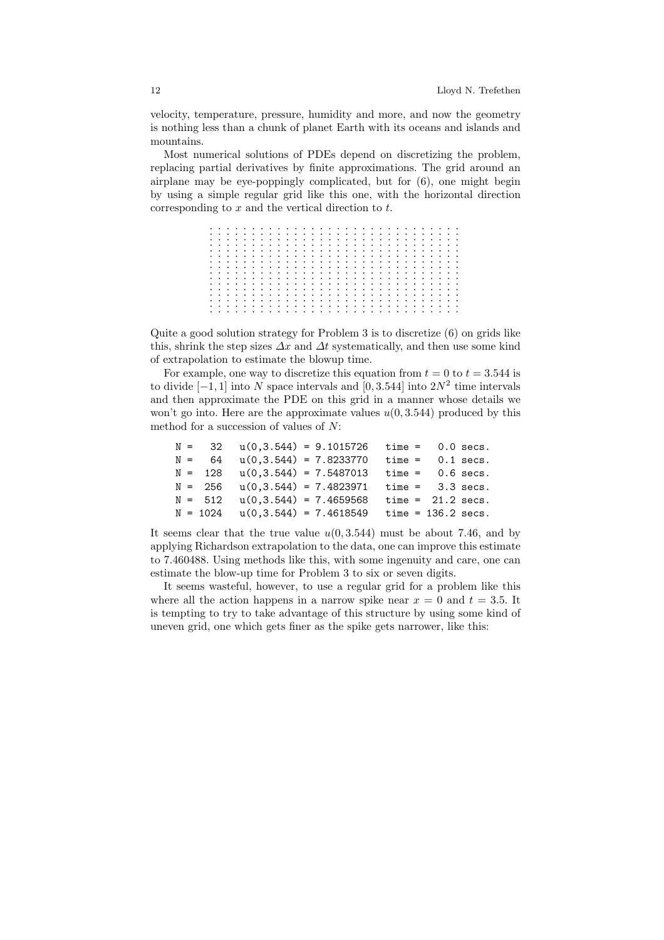velocity, temperature, pressure, humidity and more, and now the geometry is nothing less than a chunk of planet Earth with its oceans and islands and mountains.

Most numerical solutions of PDEs depend on discretizing the problem, replacing partial derivatives by finite approximations. The grid around an airplane may be eve-poppingly complicated, but for  $(6)$ , one might begin by using a simple regular grid like this one, with the horizontal direction corresponding to  $x$  and the vertical direction to  $t$ .

|  |  |           |     |             |             |                      |                      | $\sim$    |                 |                      |           | $\ddot{\phantom{1}}$ |             |                      |             |           |               |                      |  |          |   |               |                 |  |
|--|--|-----------|-----|-------------|-------------|----------------------|----------------------|-----------|-----------------|----------------------|-----------|----------------------|-------------|----------------------|-------------|-----------|---------------|----------------------|--|----------|---|---------------|-----------------|--|
|  |  |           |     | $\bullet$ . |             | $\bullet$            |                      | $\sim$    | $\sim$          | $\bullet$            | $\bullet$ | $\sim$               | $\bullet$ . | $\bullet$            |             | $\sim$    |               |                      |  |          |   |               |                 |  |
|  |  |           |     | .           | $\bullet$ . |                      | $\ddot{\phantom{1}}$ | $\sim$    |                 |                      | .         | $\sim$               |             | $\cdot$ $\cdot$      | $\bullet$ . | $\sim$    |               | $\ddot{\phantom{1}}$ |  |          | . |               |                 |  |
|  |  |           |     | .           |             | $\ddot{\phantom{a}}$ |                      | $\sim$    | $\sim$          | $\sim$               | $\bullet$ | $\sim$               |             | $\ddot{\phantom{1}}$ |             | $\sim$    |               |                      |  | $\cdots$ |   |               |                 |  |
|  |  |           |     | .           |             |                      |                      |           | $\sim$ $\sim$   | $\sim$               | $\sim$    | $\sim$               | $\sim$      | $\ddot{\phantom{1}}$ | $\sim$      |           | $\sim$ $\sim$ |                      |  |          | . | $\sim$ $\sim$ |                 |  |
|  |  |           |     | .           |             | .                    |                      | $\sim$    | $\bullet$ .     |                      | $\cdots$  | $\sim$               |             | .                    |             | $\sim$    |               |                      |  |          | . |               |                 |  |
|  |  |           |     | .           |             |                      | $\cdots$             |           | .               |                      |           | $\sim$               |             | $\cdots$             | $\bullet$ . | $\sim$    | $\bullet$ .   | $\bullet$            |  | .        |   |               | $\cdot$ $\cdot$ |  |
|  |  | $\bullet$ |     | $\sim$      | $\sim$      | $\sim$               | $\ddot{\phantom{1}}$ | $\sim$    | $\bullet$       | $\ddot{\phantom{1}}$ |           | $\sim$               | $\bullet$   | $\bullet$            |             | $\sim$    | $\sim$        | $\bullet$            |  |          | . |               |                 |  |
|  |  |           |     |             |             |                      |                      |           |                 |                      |           |                      |             |                      |             |           |               |                      |  |          |   |               |                 |  |
|  |  |           |     | .           |             |                      |                      |           |                 |                      |           |                      |             | $\cdot$ $\cdot$      |             | $\cdot$ . |               | $\cdot$ $\cdot$      |  |          | . |               |                 |  |
|  |  |           | . . | $\sim$      | $\bullet$   | $\bullet$            | $\bullet$            | $\bullet$ | $\bullet$       | $\bullet$            |           | $\bullet$            |             | . .                  |             | $\bullet$ | $\cdot$ .     | $\bullet$            |  | .        |   |               | $\cdots$        |  |
|  |  |           |     | .           |             |                      |                      |           |                 |                      | .         |                      |             |                      |             | .         |               |                      |  |          |   |               |                 |  |
|  |  |           |     | .           |             |                      |                      |           | $\cdot$ $\cdot$ | $\sim$               | $\sim$    | $\sim$               | $\sim$      | $\sim$               | $\sim$      | $\sim$    | $\sim$        | $\sim$               |  |          | . |               |                 |  |
|  |  |           |     |             |             |                      |                      |           |                 | $\bullet$            | ٠         | $\bullet$            |             | $\bullet$            |             |           |               |                      |  |          |   |               |                 |  |
|  |  |           |     |             |             |                      |                      |           |                 |                      |           |                      |             |                      |             |           |               |                      |  |          |   |               |                 |  |

Quite a good solution strategy for Problem 3 is to discretize (6) on grids like this, shrink the step sizes  $\Delta x$  and  $\Delta t$  systematically, and then use some kind of extrapolation to estimate the blowup time.

For example, one way to discretize this equation from  $t = 0$  to  $t = 3.544$  is to divide  $[-1, 1]$  into N space intervals and  $[0, 3.544]$  into  $2N^2$  time intervals and then approximate the PDE on this grid in a manner whose details we won't go into. Here are the approximate values  $u(0, 3.544)$  produced by this method for a succession of values of N:

|  | $N = 32$ $u(0, 3.544) = 9.1015726$ time = 0.0 secs. |  |  |                              |  |
|--|-----------------------------------------------------|--|--|------------------------------|--|
|  | $N = 64$ $u(0,3.544) = 7.8233770$                   |  |  | $time = 0.1$ secs.           |  |
|  | $N = 128$ $u(0, 3.544) = 7.5487013$                 |  |  | $time = 0.6 \text{ secs}.$   |  |
|  | $N = 256$ $u(0,3.544) = 7.4823971$                  |  |  | $time = 3.3 \text{ secs}.$   |  |
|  | $N = 512 \text{ u}(0,3.544) = 7.4659568$            |  |  | $time = 21.2 \text{ secs}.$  |  |
|  | $N = 1024$ $u(0, 3.544) = 7.4618549$                |  |  | $time = 136.2 \text{ secs}.$ |  |

It seems clear that the true value  $u(0, 3.544)$  must be about 7.46, and by applying Richardson extrapolation to the data, one can improve this estimate to 7.460488. Using methods like this, with some ingenuity and care, one can estimate the blow-up time for Problem 3 to six or seven digits.

It seems wasteful, however, to use a regular grid for a problem like this where all the action happens in a narrow spike near  $x = 0$  and  $t = 3.5$ . It is tempting to try to take advantage of this structure by using some kind of uneven grid, one which gets finer as the spike gets narrower, like this: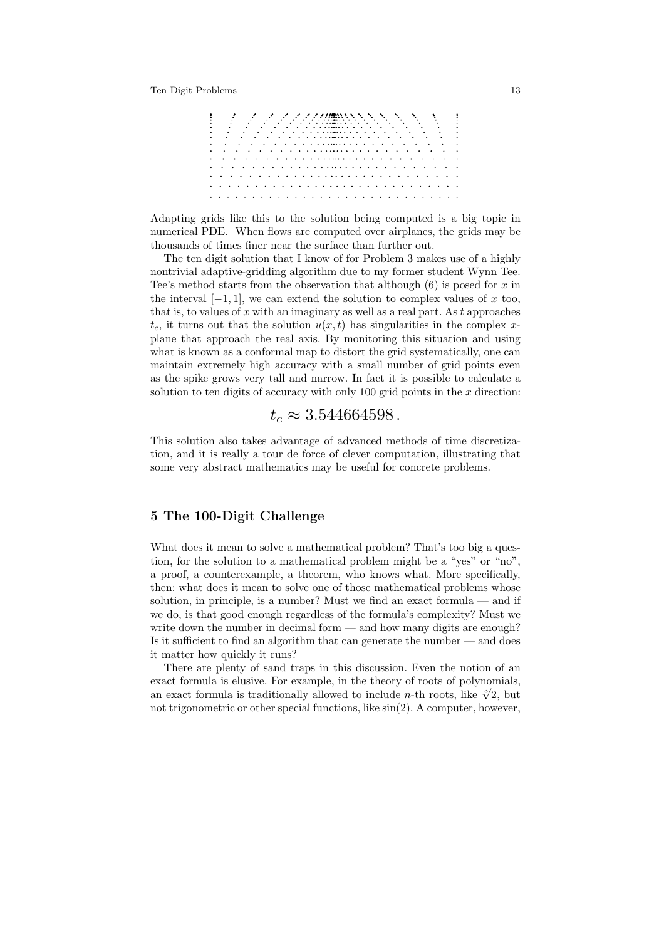

Adapting grids like this to the solution being computed is a big topic in numerical PDE. When flows are computed over airplanes, the grids may be thousands of times finer near the surface than further out.

The ten digit solution that I know of for Problem 3 makes use of a highly nontrivial adaptive-gridding algorithm due to my former student Wynn Tee. Tee's method starts from the observation that although  $(6)$  is posed for x in the interval  $[-1, 1]$ , we can extend the solution to complex values of x too, that is, to values of  $x$  with an imaginary as well as a real part. As  $t$  approaches  $t_c$ , it turns out that the solution  $u(x,t)$  has singularities in the complex xplane that approach the real axis. By monitoring this situation and using what is known as a conformal map to distort the grid systematically, one can maintain extremely high accuracy with a small number of grid points even as the spike grows very tall and narrow. In fact it is possible to calculate a solution to ten digits of accuracy with only 100 grid points in the  $x$  direction:

# $t_c \approx 3.544664598$ .

This solution also takes advantage of advanced methods of time discretization, and it is really a tour de force of clever computation, illustrating that some very abstract mathematics may be useful for concrete problems.

# 5 The 100-Digit Challenge

What does it mean to solve a mathematical problem? That's too big a question, for the solution to a mathematical problem might be a "yes" or "no", a proof, a counterexample, a theorem, who knows what. More specifically, then: what does it mean to solve one of those mathematical problems whose solution, in principle, is a number? Must we find an exact formula — and if we do, is that good enough regardless of the formula's complexity? Must we write down the number in decimal form — and how many digits are enough? Is it sufficient to find an algorithm that can generate the number — and does it matter how quickly it runs?

There are plenty of sand traps in this discussion. Even the notion of an exact formula is elusive. For example, in the theory of roots of polynomials, an exact formula is traditionally allowed to include n-th roots, like  $\sqrt[3]{2}$ , but not trigonometric or other special functions, like sin(2). A computer, however,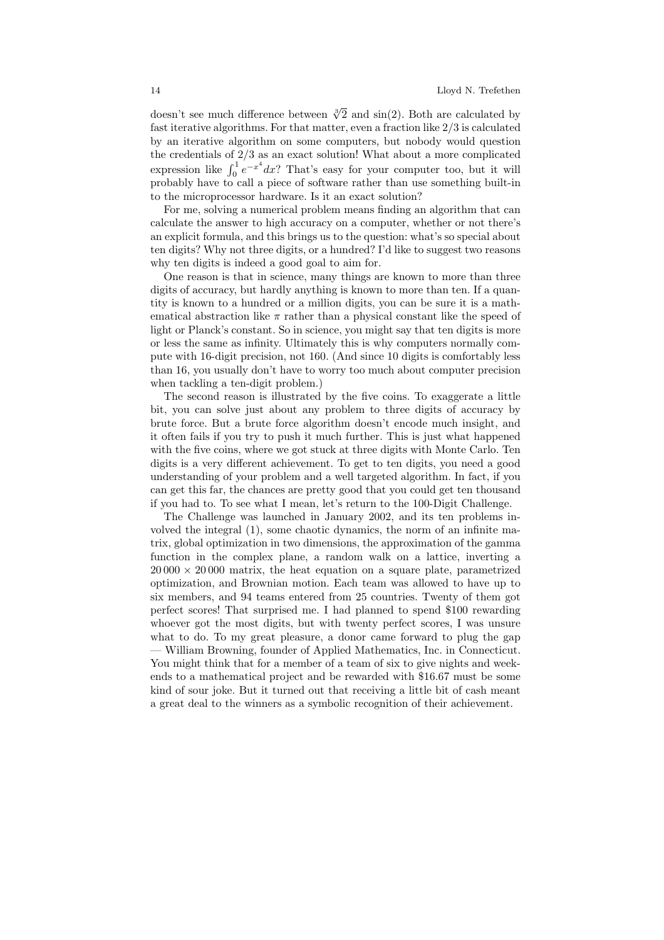doesn't see much difference between  $\sqrt[3]{2}$  and sin(2). Both are calculated by fast iterative algorithms. For that matter, even a fraction like 2/3 is calculated by an iterative algorithm on some computers, but nobody would question the credentials of 2/3 as an exact solution! What about a more complicated expression like  $\int_0^1 e^{-x^4} dx$ ? That's easy for your computer too, but it will probably have to call a piece of software rather than use something built-in to the microprocessor hardware. Is it an exact solution?

For me, solving a numerical problem means finding an algorithm that can calculate the answer to high accuracy on a computer, whether or not there's an explicit formula, and this brings us to the question: what's so special about ten digits? Why not three digits, or a hundred? I'd like to suggest two reasons why ten digits is indeed a good goal to aim for.

One reason is that in science, many things are known to more than three digits of accuracy, but hardly anything is known to more than ten. If a quantity is known to a hundred or a million digits, you can be sure it is a mathematical abstraction like  $\pi$  rather than a physical constant like the speed of light or Planck's constant. So in science, you might say that ten digits is more or less the same as infinity. Ultimately this is why computers normally compute with 16-digit precision, not 160. (And since 10 digits is comfortably less than 16, you usually don't have to worry too much about computer precision when tackling a ten-digit problem.)

The second reason is illustrated by the five coins. To exaggerate a little bit, you can solve just about any problem to three digits of accuracy by brute force. But a brute force algorithm doesn't encode much insight, and it often fails if you try to push it much further. This is just what happened with the five coins, where we got stuck at three digits with Monte Carlo. Ten digits is a very different achievement. To get to ten digits, you need a good understanding of your problem and a well targeted algorithm. In fact, if you can get this far, the chances are pretty good that you could get ten thousand if you had to. To see what I mean, let's return to the 100-Digit Challenge.

The Challenge was launched in January 2002, and its ten problems involved the integral (1), some chaotic dynamics, the norm of an infinite matrix, global optimization in two dimensions, the approximation of the gamma function in the complex plane, a random walk on a lattice, inverting a  $20000 \times 20000$  matrix, the heat equation on a square plate, parametrized optimization, and Brownian motion. Each team was allowed to have up to six members, and 94 teams entered from 25 countries. Twenty of them got perfect scores! That surprised me. I had planned to spend \$100 rewarding whoever got the most digits, but with twenty perfect scores, I was unsure what to do. To my great pleasure, a donor came forward to plug the gap — William Browning, founder of Applied Mathematics, Inc. in Connecticut. You might think that for a member of a team of six to give nights and weekends to a mathematical project and be rewarded with \$16.67 must be some kind of sour joke. But it turned out that receiving a little bit of cash meant a great deal to the winners as a symbolic recognition of their achievement.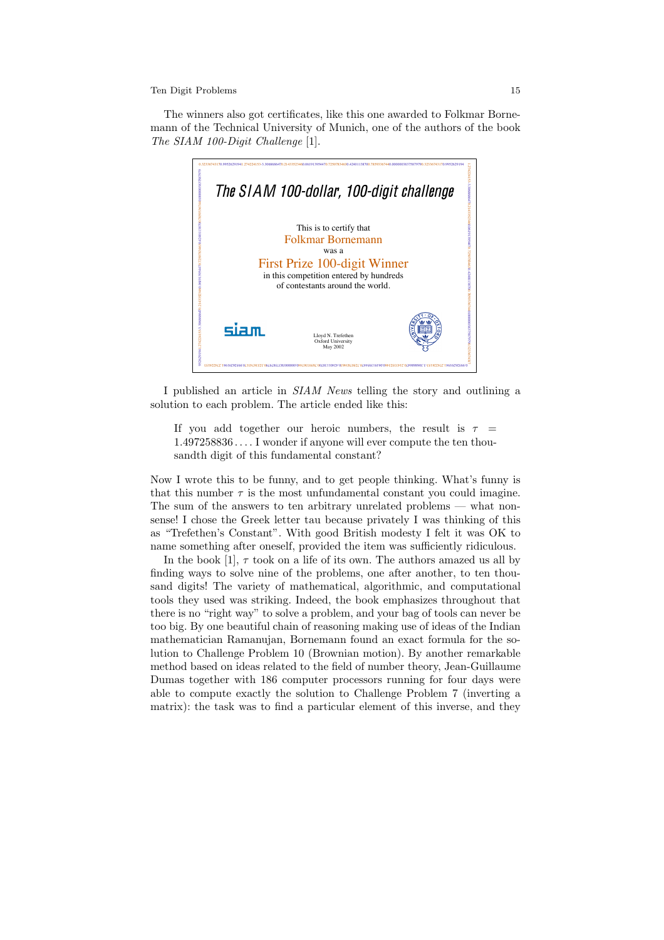The winners also got certificates, like this one awarded to Folkmar Bornemann of the Technical University of Munich, one of the authors of the book The SIAM 100-Digit Challenge [1].



I published an article in SIAM News telling the story and outlining a solution to each problem. The article ended like this:

If you add together our heroic numbers, the result is  $\tau =$  $1.497258836...$  I wonder if anyone will ever compute the ten thousandth digit of this fundamental constant?

Now I wrote this to be funny, and to get people thinking. What's funny is that this number  $\tau$  is the most unfundamental constant you could imagine. The sum of the answers to ten arbitrary unrelated problems — what nonsense! I chose the Greek letter tau because privately I was thinking of this as "Trefethen's Constant". With good British modesty I felt it was OK to name something after oneself, provided the item was sufficiently ridiculous.

In the book [1],  $\tau$  took on a life of its own. The authors amazed us all by finding ways to solve nine of the problems, one after another, to ten thousand digits! The variety of mathematical, algorithmic, and computational tools they used was striking. Indeed, the book emphasizes throughout that there is no "right way" to solve a problem, and your bag of tools can never be too big. By one beautiful chain of reasoning making use of ideas of the Indian mathematician Ramanujan, Bornemann found an exact formula for the solution to Challenge Problem 10 (Brownian motion). By another remarkable method based on ideas related to the field of number theory, Jean-Guillaume Dumas together with 186 computer processors running for four days were able to compute exactly the solution to Challenge Problem 7 (inverting a matrix): the task was to find a particular element of this inverse, and they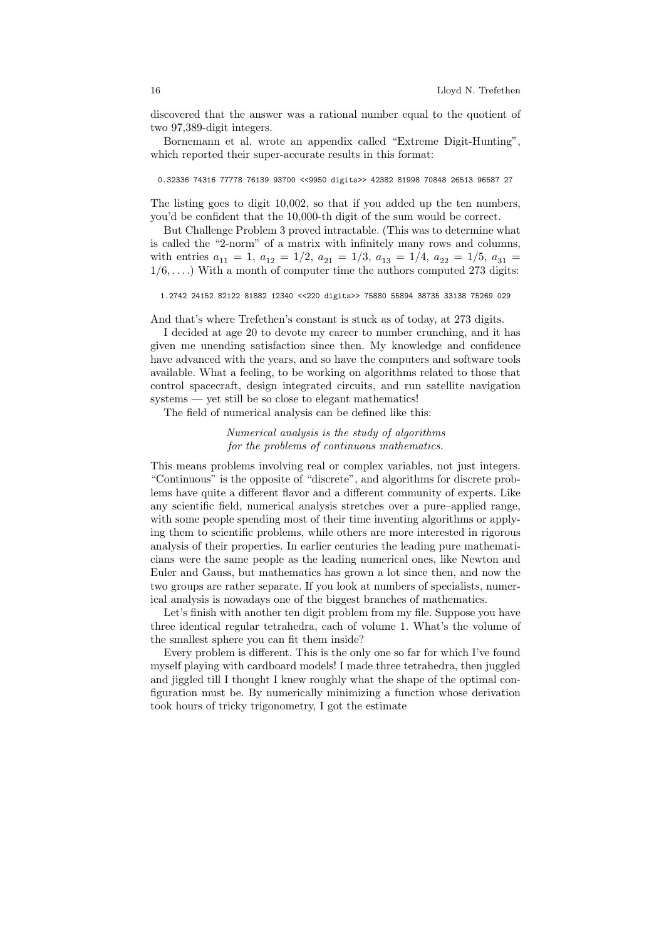discovered that the answer was a rational number equal to the quotient of two 97,389-digit integers.

Bornemann et al. wrote an appendix called "Extreme Digit-Hunting", which reported their super-accurate results in this format:

0.32336 74316 77778 76139 93700 <<9950 digits>> 42382 81998 70848 26513 96587 27

The listing goes to digit 10,002, so that if you added up the ten numbers, you'd be confident that the 10,000-th digit of the sum would be correct.

But Challenge Problem 3 proved intractable. (This was to determine what is called the "2-norm" of a matrix with infinitely many rows and columns, with entries  $a_{11} = 1$ ,  $a_{12} = 1/2$ ,  $a_{21} = 1/3$ ,  $a_{13} = 1/4$ ,  $a_{22} = 1/5$ ,  $a_{31} =$  $1/6, \ldots$ ) With a month of computer time the authors computed 273 digits:

1.2742 24152 82122 81882 12340 <<220 digits>> 75880 55894 38735 33138 75269 029

And that's where Trefethen's constant is stuck as of today, at 273 digits.

I decided at age 20 to devote my career to number crunching, and it has given me unending satisfaction since then. My knowledge and confidence have advanced with the years, and so have the computers and software tools available. What a feeling, to be working on algorithms related to those that control spacecraft, design integrated circuits, and run satellite navigation systems — yet still be so close to elegant mathematics!

The field of numerical analysis can be defined like this:

Numerical analysis is the study of algorithms for the problems of continuous mathematics.

This means problems involving real or complex variables, not just integers. "Continuous" is the opposite of "discrete", and algorithms for discrete problems have quite a different flavor and a different community of experts. Like any scientific field, numerical analysis stretches over a pure–applied range, with some people spending most of their time inventing algorithms or applying them to scientific problems, while others are more interested in rigorous analysis of their properties. In earlier centuries the leading pure mathematicians were the same people as the leading numerical ones, like Newton and Euler and Gauss, but mathematics has grown a lot since then, and now the two groups are rather separate. If you look at numbers of specialists, numerical analysis is nowadays one of the biggest branches of mathematics.

Let's finish with another ten digit problem from my file. Suppose you have three identical regular tetrahedra, each of volume 1. What's the volume of the smallest sphere you can fit them inside?

Every problem is different. This is the only one so far for which I've found myself playing with cardboard models! I made three tetrahedra, then juggled and jiggled till I thought I knew roughly what the shape of the optimal configuration must be. By numerically minimizing a function whose derivation took hours of tricky trigonometry, I got the estimate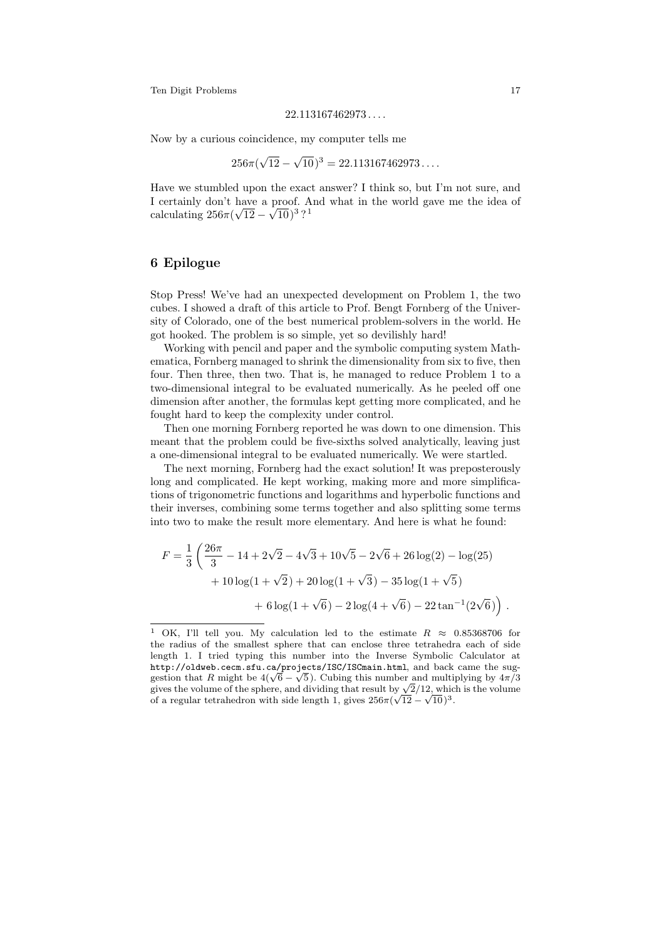$$
22.113167462973\ldots
$$

Now by a curious coincidence, my computer tells me

$$
256\pi(\sqrt{12}-\sqrt{10})^3 = 22.113167462973\dots
$$

Have we stumbled upon the exact answer? I think so, but I'm not sure, and I certainly don't have a proof. And what in the world gave me the idea of calculating  $256\pi(\sqrt{12} - \sqrt{10})^3$ ?<sup>1</sup>

### 6 Epilogue

Stop Press! We've had an unexpected development on Problem 1, the two cubes. I showed a draft of this article to Prof. Bengt Fornberg of the University of Colorado, one of the best numerical problem-solvers in the world. He got hooked. The problem is so simple, yet so devilishly hard!

Working with pencil and paper and the symbolic computing system Mathematica, Fornberg managed to shrink the dimensionality from six to five, then four. Then three, then two. That is, he managed to reduce Problem 1 to a two-dimensional integral to be evaluated numerically. As he peeled off one dimension after another, the formulas kept getting more complicated, and he fought hard to keep the complexity under control.

Then one morning Fornberg reported he was down to one dimension. This meant that the problem could be five-sixths solved analytically, leaving just a one-dimensional integral to be evaluated numerically. We were startled.

The next morning, Fornberg had the exact solution! It was preposterously long and complicated. He kept working, making more and more simplifications of trigonometric functions and logarithms and hyperbolic functions and their inverses, combining some terms together and also splitting some terms into two to make the result more elementary. And here is what he found:

$$
F = \frac{1}{3} \left( \frac{26\pi}{3} - 14 + 2\sqrt{2} - 4\sqrt{3} + 10\sqrt{5} - 2\sqrt{6} + 26\log(2) - \log(25) + 10\log(1 + \sqrt{2}) + 20\log(1 + \sqrt{3}) - 35\log(1 + \sqrt{5}) + 6\log(1 + \sqrt{6}) - 2\log(4 + \sqrt{6}) - 22\tan^{-1}(2\sqrt{6}) \right).
$$

<sup>&</sup>lt;sup>1</sup> OK, I'll tell you. My calculation led to the estimate  $R \approx 0.85368706$  for the radius of the smallest sphere that can enclose three tetrahedra each of side length 1. I tried typing this number into the Inverse Symbolic Calculator at http://oldweb.cecm.sfu.ca/projects/ISC/ISCmain.html, and back came the suggestion that R might be  $4(\sqrt{6} - \sqrt{5})$ . Cubing this number and multiplying by  $4\pi/3$ gives the volume of the sphere, and dividing that result by  $\sqrt{2}/12$ , which is the volume of a regular tetrahedron with side length 1, gives  $256\pi(\sqrt{12} - \sqrt{10})^3$ .